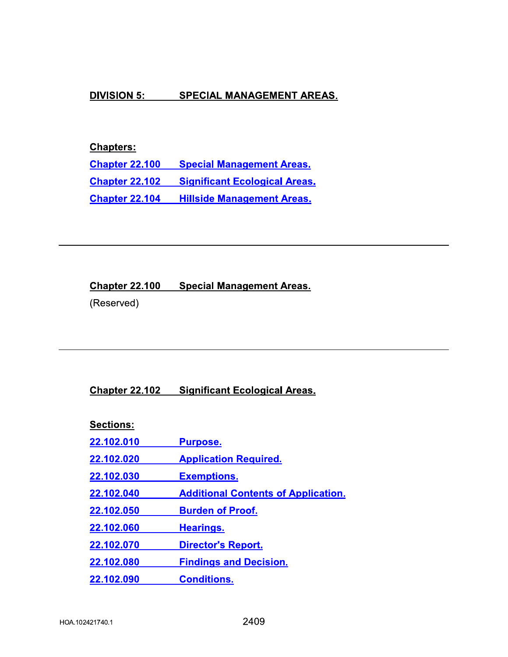## **DIVISION 5:** SPECIAL MANAGEMENT AREAS.

# **Chapters:**

**Chapter 22.100 Special Management Areas. Chapter 22.102 Significant Ecological Areas. Chapter 22.104 Hillside Management Areas.** 

#### **Chapter 22.100 Special Management Areas.**

(Reserved)

## **Chapter 22.102 Significant Ecological Areas.**

Sections:

22.102.010 **Purpose.** 

22.102.020 **Application Required.** 

- 22.102.030 **Exemptions.**
- **Additional Contents of Application.** 22.102.040
- 22.102.050 **Burden of Proof.**
- 22.102.060 **Hearings.**
- 22.102.070 **Director's Report.**
- **Findings and Decision.** 22.102.080
- 22.102.090 **Conditions.**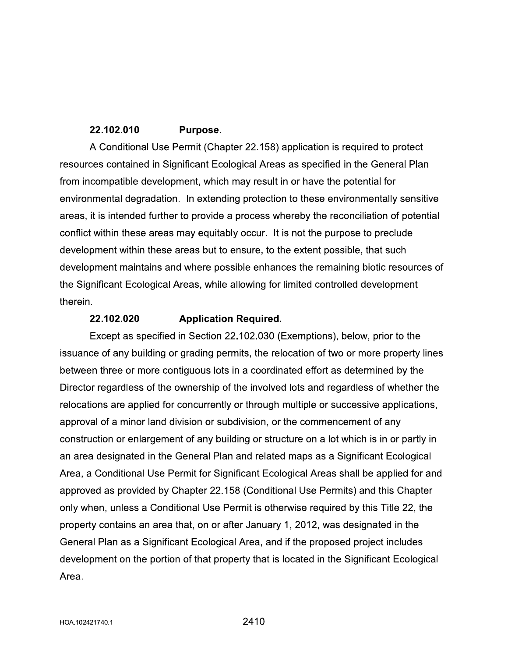## 22.102.010 Purpose.

A Conditional Use Permit (Chapter 22.158) application is required to protect resources contained in Significant Ecological Areas as specified in the General Plan from incompatible development, which may result in or have the potential for environmental degradation. In extending protection to these environmentally sensitive areas, it is intended further to provide a process whereby the reconciliation of potential conflict within these areas may equitably occur. It is not the purpose to preclude development within these areas but to ensure, to the extent possible, that such development maintains and where possible enhances the remaining biotic resources of the Significant Ecological Areas, while allowing for limited controlled development therein.

## 22.102.020 **Application Required.**

Except as specified in Section 22.102.030 (Exemptions), below, prior to the issuance of any building or grading permits, the relocation of two or more property lines between three or more contiguous lots in a coordinated effort as determined by the Director regardless of the ownership of the involved lots and regardless of whether the relocations are applied for concurrently or through multiple or successive applications, approval of a minor land division or subdivision, or the commencement of any construction or enlargement of any building or structure on a lot which is in or partly in an area designated in the General Plan and related maps as a Significant Ecological Area, a Conditional Use Permit for Significant Ecological Areas shall be applied for and approved as provided by Chapter 22.158 (Conditional Use Permits) and this Chapter only when, unless a Conditional Use Permit is otherwise required by this Title 22, the property contains an area that, on or after January 1, 2012, was designated in the General Plan as a Significant Ecological Area, and if the proposed project includes development on the portion of that property that is located in the Significant Ecological Area.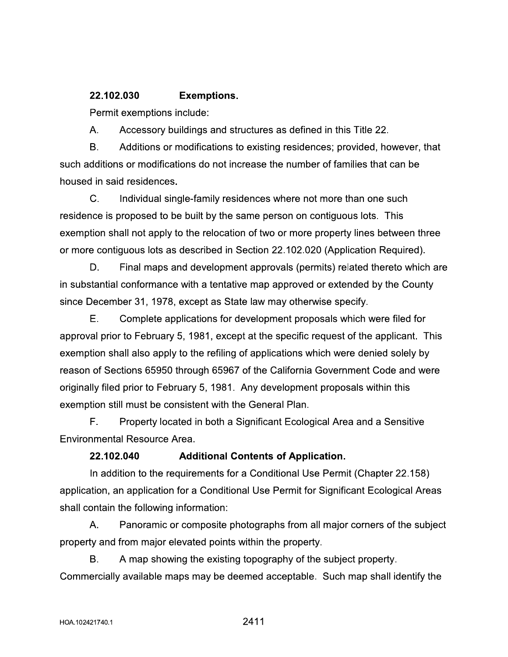## **Exemptions.** 22.102.030

Permit exemptions include:

A. Accessory buildings and structures as defined in this Title 22.

 $B<sub>1</sub>$ Additions or modifications to existing residences; provided, however, that such additions or modifications do not increase the number of families that can be housed in said residences.

 $C_{\cdot}$ Individual single-family residences where not more than one such residence is proposed to be built by the same person on contiguous lots. This exemption shall not apply to the relocation of two or more property lines between three or more contiguous lots as described in Section 22.102.020 (Application Required).

D. Final maps and development approvals (permits) related thereto which are in substantial conformance with a tentative map approved or extended by the County since December 31, 1978, except as State law may otherwise specify.

Ε. Complete applications for development proposals which were filed for approval prior to February 5, 1981, except at the specific request of the applicant. This exemption shall also apply to the refiling of applications which were denied solely by reason of Sections 65950 through 65967 of the California Government Code and were originally filed prior to February 5, 1981. Any development proposals within this exemption still must be consistent with the General Plan.

F. Property located in both a Significant Ecological Area and a Sensitive **Environmental Resource Area.** 

## 22.102.040 **Additional Contents of Application.**

In addition to the requirements for a Conditional Use Permit (Chapter 22.158) application, an application for a Conditional Use Permit for Significant Ecological Areas shall contain the following information:

А. Panoramic or composite photographs from all major corners of the subject property and from major elevated points within the property.

Β. A map showing the existing topography of the subject property. Commercially available maps may be deemed acceptable. Such map shall identify the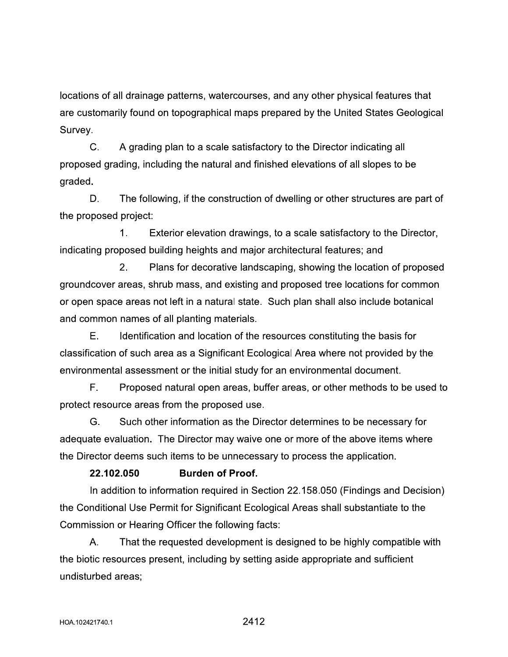locations of all drainage patterns, watercourses, and any other physical features that are customarily found on topographical maps prepared by the United States Geological Survey.

C. A grading plan to a scale satisfactory to the Director indicating all proposed grading, including the natural and finished elevations of all slopes to be graded.

D. The following, if the construction of dwelling or other structures are part of the proposed project:

 $1<sub>1</sub>$ Exterior elevation drawings, to a scale satisfactory to the Director, indicating proposed building heights and major architectural features; and

 $2.$ Plans for decorative landscaping, showing the location of proposed groundcover areas, shrub mass, and existing and proposed tree locations for common or open space areas not left in a natural state. Such plan shall also include botanical and common names of all planting materials.

Е. Identification and location of the resources constituting the basis for classification of such area as a Significant Ecological Area where not provided by the environmental assessment or the initial study for an environmental document.

F. Proposed natural open areas, buffer areas, or other methods to be used to protect resource areas from the proposed use.

G. Such other information as the Director determines to be necessary for adequate evaluation. The Director may waive one or more of the above items where the Director deems such items to be unnecessary to process the application.

## 22.102.050 **Burden of Proof.**

In addition to information required in Section 22.158.050 (Findings and Decision) the Conditional Use Permit for Significant Ecological Areas shall substantiate to the Commission or Hearing Officer the following facts:

Α. That the requested development is designed to be highly compatible with the biotic resources present, including by setting aside appropriate and sufficient undisturbed areas: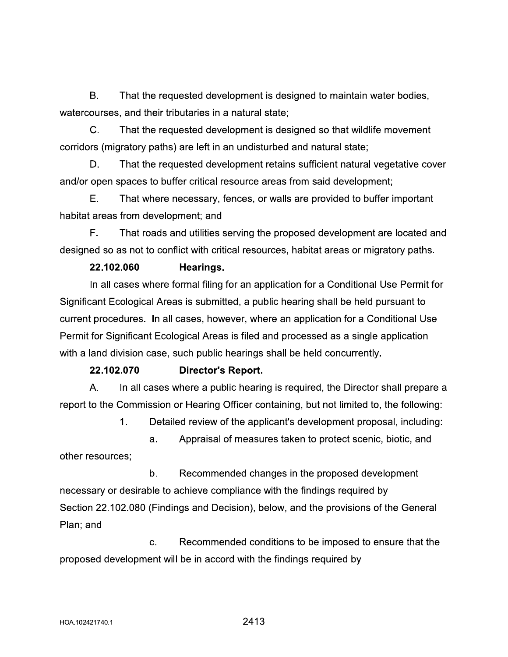**B.** That the requested development is designed to maintain water bodies, watercourses, and their tributaries in a natural state;

 $\mathsf{C}$ . That the requested development is designed so that wildlife movement corridors (migratory paths) are left in an undisturbed and natural state;

D. That the requested development retains sufficient natural vegetative cover and/or open spaces to buffer critical resource areas from said development;

Е. That where necessary, fences, or walls are provided to buffer important habitat areas from development; and

F. That roads and utilities serving the proposed development are located and designed so as not to conflict with critical resources, habitat areas or migratory paths.

## 22.102.060 Hearings.

In all cases where formal filing for an application for a Conditional Use Permit for Significant Ecological Areas is submitted, a public hearing shall be held pursuant to current procedures. In all cases, however, where an application for a Conditional Use Permit for Significant Ecological Areas is filed and processed as a single application with a land division case, such public hearings shall be held concurrently.

#### 22.102.070 **Director's Report.**

 $A_{1}$ In all cases where a public hearing is required, the Director shall prepare a report to the Commission or Hearing Officer containing, but not limited to, the following:

> $1<sub>1</sub>$ Detailed review of the applicant's development proposal, including:

Appraisal of measures taken to protect scenic, biotic, and a. other resources:

 $b<sub>1</sub>$ Recommended changes in the proposed development necessary or desirable to achieve compliance with the findings required by Section 22.102.080 (Findings and Decision), below, and the provisions of the General Plan; and

C. Recommended conditions to be imposed to ensure that the proposed development will be in accord with the findings required by